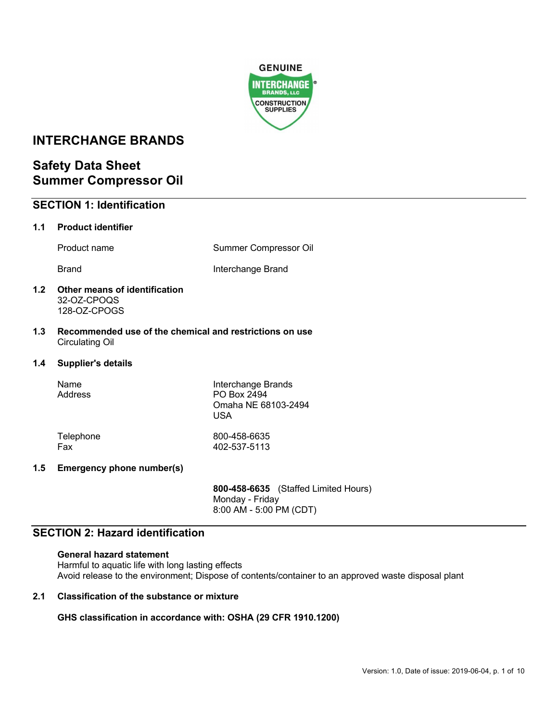

# **INTERCHANGE BRANDS**

# **Safety Data Sheet Summer Compressor Oil**

# **SECTION 1: Identification**

# **1.1 Product identifier**

Product name Summer Compressor Oil

Brand **Interchange Brand** 

## **1.2 Other means of identification** 32-OZ-CPOQS 128-OZ-CPOGS

**1.3 Recommended use of the chemical and restrictions on use** Circulating Oil

## **1.4 Supplier's details**

| Name<br>Address | Interchange Brands<br>PO Box 2494<br>Omaha NE 68103-2494<br>USA |
|-----------------|-----------------------------------------------------------------|
| Telephone       | 800-458-6635                                                    |
| Fax             | 402-537-5113                                                    |

# **1.5 Emergency phone number(s)**

**800-458-6635** (Staffed Limited Hours) Monday - Friday 8:00 AM - 5:00 PM (CDT)

# **SECTION 2: Hazard identification**

**General hazard statement** Harmful to aquatic life with long lasting effects Avoid release to the environment; Dispose of contents/container to an approved waste disposal plant

# **2.1 Classification of the substance or mixture**

**GHS classification in accordance with: OSHA (29 CFR 1910.1200)**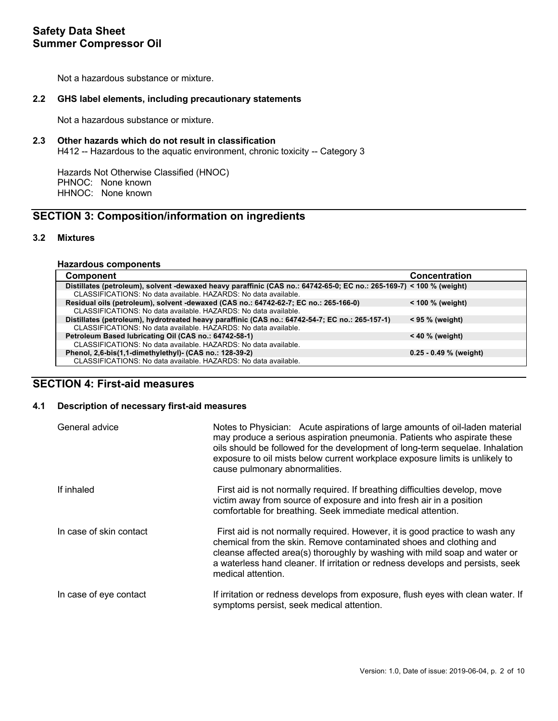Not a hazardous substance or mixture.

## **2.2 GHS label elements, including precautionary statements**

Not a hazardous substance or mixture.

## **2.3 Other hazards which do not result in classification**

H412 -- Hazardous to the aquatic environment, chronic toxicity -- Category 3

Hazards Not Otherwise Classified (HNOC) PHNOC: None known HHNOC: None known

# **SECTION 3: Composition/information on ingredients**

## **3.2 Mixtures**

#### **Hazardous components**

| <b>Component</b>                                                                                                     | <b>Concentration</b>     |
|----------------------------------------------------------------------------------------------------------------------|--------------------------|
| Distillates (petroleum), solvent -dewaxed heavy paraffinic (CAS no.: 64742-65-0; EC no.: 265-169-7) < 100 % (weight) |                          |
| CLASSIFICATIONS: No data available. HAZARDS: No data available.                                                      |                          |
| Residual oils (petroleum), solvent -dewaxed (CAS no.: 64742-62-7; EC no.: 265-166-0)                                 | $<$ 100 % (weight)       |
| CLASSIFICATIONS: No data available. HAZARDS: No data available.                                                      |                          |
| Distillates (petroleum), hydrotreated heavy paraffinic (CAS no.: 64742-54-7; EC no.: 265-157-1)                      | $<$ 95 % (weight)        |
| CLASSIFICATIONS: No data available. HAZARDS: No data available.                                                      |                          |
| Petroleum Based lubricating Oil (CAS no.: 64742-58-1)                                                                | $< 40 \%$ (weight)       |
| CLASSIFICATIONS: No data available. HAZARDS: No data available.                                                      |                          |
| Phenol, 2,6-bis(1,1-dimethylethyl) (CAS no.: 128-39-2)                                                               | $0.25 - 0.49$ % (weight) |
| CLASSIFICATIONS: No data available. HAZARDS: No data available.                                                      |                          |

# **SECTION 4: First-aid measures**

# **4.1 Description of necessary first-aid measures**

| General advice          | Notes to Physician: Acute aspirations of large amounts of oil-laden material<br>may produce a serious aspiration pneumonia. Patients who aspirate these<br>oils should be followed for the development of long-term sequelae. Inhalation<br>exposure to oil mists below current workplace exposure limits is unlikely to<br>cause pulmonary abnormalities. |
|-------------------------|------------------------------------------------------------------------------------------------------------------------------------------------------------------------------------------------------------------------------------------------------------------------------------------------------------------------------------------------------------|
| If inhaled              | First aid is not normally required. If breathing difficulties develop, move<br>victim away from source of exposure and into fresh air in a position<br>comfortable for breathing. Seek immediate medical attention.                                                                                                                                        |
| In case of skin contact | First aid is not normally required. However, it is good practice to wash any<br>chemical from the skin. Remove contaminated shoes and clothing and<br>cleanse affected area(s) thoroughly by washing with mild soap and water or<br>a waterless hand cleaner. If irritation or redness develops and persists, seek<br>medical attention.                   |
| In case of eye contact  | If irritation or redness develops from exposure, flush eyes with clean water. If<br>symptoms persist, seek medical attention.                                                                                                                                                                                                                              |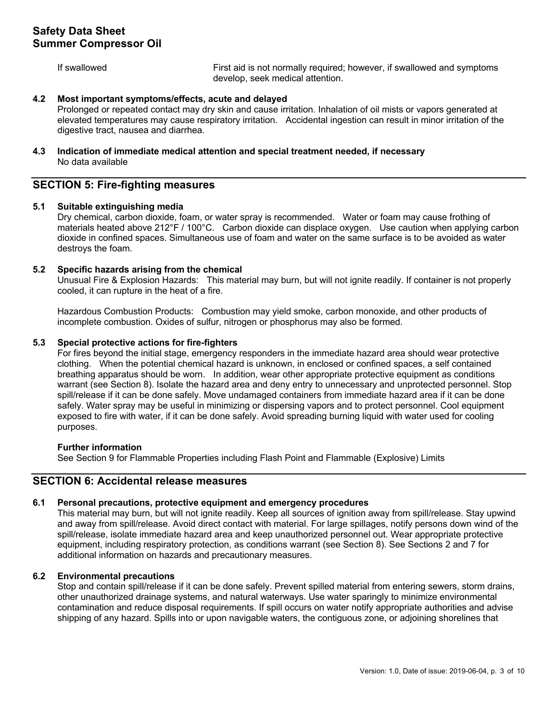If swallowed First aid is not normally required; however, if swallowed and symptoms develop, seek medical attention.

### **4.2 Most important symptoms/effects, acute and delayed**

Prolonged or repeated contact may dry skin and cause irritation. Inhalation of oil mists or vapors generated at elevated temperatures may cause respiratory irritation. Accidental ingestion can result in minor irritation of the digestive tract, nausea and diarrhea.

## **4.3 Indication of immediate medical attention and special treatment needed, if necessary** No data available

# **SECTION 5: Fire-fighting measures**

## **5.1 Suitable extinguishing media**

Dry chemical, carbon dioxide, foam, or water spray is recommended. Water or foam may cause frothing of materials heated above 212°F / 100°C. Carbon dioxide can displace oxygen. Use caution when applying carbon dioxide in confined spaces. Simultaneous use of foam and water on the same surface is to be avoided as water destroys the foam.

## **5.2 Specific hazards arising from the chemical**

Unusual Fire & Explosion Hazards: This material may burn, but will not ignite readily. If container is not properly cooled, it can rupture in the heat of a fire.

Hazardous Combustion Products: Combustion may yield smoke, carbon monoxide, and other products of incomplete combustion. Oxides of sulfur, nitrogen or phosphorus may also be formed.

## **5.3 Special protective actions for fire-fighters**

For fires beyond the initial stage, emergency responders in the immediate hazard area should wear protective clothing. When the potential chemical hazard is unknown, in enclosed or confined spaces, a self contained breathing apparatus should be worn. In addition, wear other appropriate protective equipment as conditions warrant (see Section 8). Isolate the hazard area and deny entry to unnecessary and unprotected personnel. Stop spill/release if it can be done safely. Move undamaged containers from immediate hazard area if it can be done safely. Water spray may be useful in minimizing or dispersing vapors and to protect personnel. Cool equipment exposed to fire with water, if it can be done safely. Avoid spreading burning liquid with water used for cooling purposes.

#### **Further information**

See Section 9 for Flammable Properties including Flash Point and Flammable (Explosive) Limits

# **SECTION 6: Accidental release measures**

# **6.1 Personal precautions, protective equipment and emergency procedures**

This material may burn, but will not ignite readily. Keep all sources of ignition away from spill/release. Stay upwind and away from spill/release. Avoid direct contact with material. For large spillages, notify persons down wind of the spill/release, isolate immediate hazard area and keep unauthorized personnel out. Wear appropriate protective equipment, including respiratory protection, as conditions warrant (see Section 8). See Sections 2 and 7 for additional information on hazards and precautionary measures.

## **6.2 Environmental precautions**

Stop and contain spill/release if it can be done safely. Prevent spilled material from entering sewers, storm drains, other unauthorized drainage systems, and natural waterways. Use water sparingly to minimize environmental contamination and reduce disposal requirements. If spill occurs on water notify appropriate authorities and advise shipping of any hazard. Spills into or upon navigable waters, the contiguous zone, or adjoining shorelines that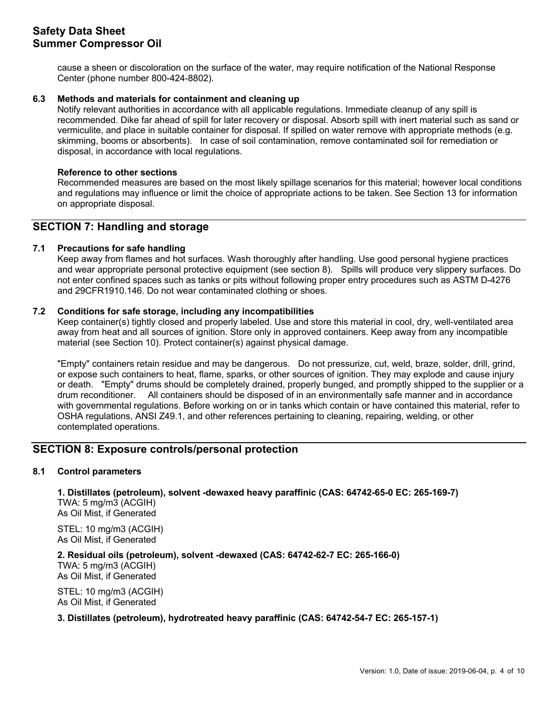cause a sheen or discoloration on the surface of the water, may require notification of the National Response Center (phone number 800-424-8802).

## **6.3 Methods and materials for containment and cleaning up**

Notify relevant authorities in accordance with all applicable regulations. Immediate cleanup of any spill is recommended. Dike far ahead of spill for later recovery or disposal. Absorb spill with inert material such as sand or vermiculite, and place in suitable container for disposal. If spilled on water remove with appropriate methods (e.g. skimming, booms or absorbents). In case of soil contamination, remove contaminated soil for remediation or disposal, in accordance with local regulations.

### **Reference to other sections**

Recommended measures are based on the most likely spillage scenarios for this material; however local conditions and regulations may influence or limit the choice of appropriate actions to be taken. See Section 13 for information on appropriate disposal.

# **SECTION 7: Handling and storage**

## **7.1 Precautions for safe handling**

Keep away from flames and hot surfaces. Wash thoroughly after handling. Use good personal hygiene practices and wear appropriate personal protective equipment (see section 8). Spills will produce very slippery surfaces. Do not enter confined spaces such as tanks or pits without following proper entry procedures such as ASTM D-4276 and 29CFR1910.146. Do not wear contaminated clothing or shoes.

## **7.2 Conditions for safe storage, including any incompatibilities**

Keep container(s) tightly closed and properly labeled. Use and store this material in cool, dry, well-ventilated area away from heat and all sources of ignition. Store only in approved containers. Keep away from any incompatible material (see Section 10). Protect container(s) against physical damage.

"Empty" containers retain residue and may be dangerous. Do not pressurize, cut, weld, braze, solder, drill, grind, or expose such containers to heat, flame, sparks, or other sources of ignition. They may explode and cause injury or death. "Empty" drums should be completely drained, properly bunged, and promptly shipped to the supplier or a drum reconditioner. All containers should be disposed of in an environmentally safe manner and in accordance with governmental regulations. Before working on or in tanks which contain or have contained this material, refer to OSHA regulations, ANSI Z49.1, and other references pertaining to cleaning, repairing, welding, or other contemplated operations.

# **SECTION 8: Exposure controls/personal protection**

# **8.1 Control parameters**

**1. Distillates (petroleum), solvent -dewaxed heavy paraffinic (CAS: 64742-65-0 EC: 265-169-7)**  TWA: 5 mg/m3 (ACGIH) As Oil Mist, if Generated

STEL: 10 mg/m3 (ACGIH) As Oil Mist, if Generated

**2. Residual oils (petroleum), solvent -dewaxed (CAS: 64742-62-7 EC: 265-166-0)**  TWA: 5 mg/m3 (ACGIH)

As Oil Mist, if Generated

STEL: 10 mg/m3 (ACGIH) As Oil Mist, if Generated

## **3. Distillates (petroleum), hydrotreated heavy paraffinic (CAS: 64742-54-7 EC: 265-157-1)**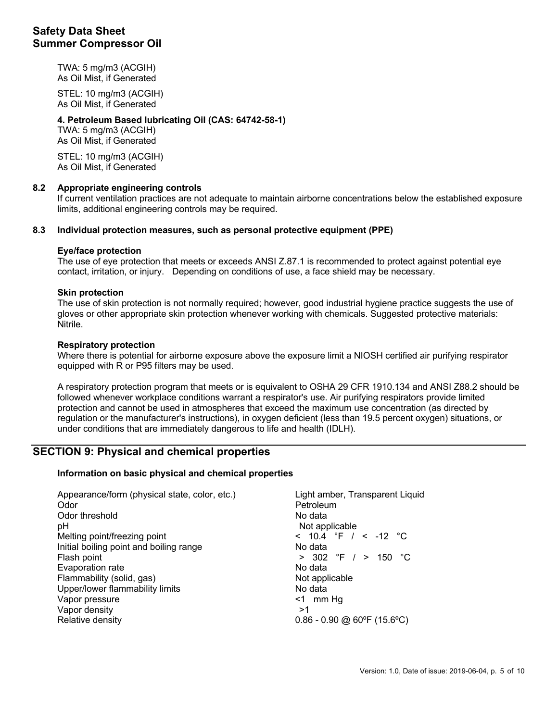TWA: 5 mg/m3 (ACGIH) As Oil Mist, if Generated

STEL: 10 mg/m3 (ACGIH) As Oil Mist, if Generated

# **4. Petroleum Based lubricating Oil (CAS: 64742-58-1)**

TWA: 5 mg/m3 (ACGIH) As Oil Mist, if Generated

STEL: 10 mg/m3 (ACGIH) As Oil Mist, if Generated

# **8.2 Appropriate engineering controls**

If current ventilation practices are not adequate to maintain airborne concentrations below the established exposure limits, additional engineering controls may be required.

## **8.3 Individual protection measures, such as personal protective equipment (PPE)**

## **Eye/face protection**

The use of eye protection that meets or exceeds ANSI Z.87.1 is recommended to protect against potential eye contact, irritation, or injury. Depending on conditions of use, a face shield may be necessary.

## **Skin protection**

The use of skin protection is not normally required; however, good industrial hygiene practice suggests the use of gloves or other appropriate skin protection whenever working with chemicals. Suggested protective materials: Nitrile.

## **Respiratory protection**

Where there is potential for airborne exposure above the exposure limit a NIOSH certified air purifying respirator equipped with R or P95 filters may be used.

A respiratory protection program that meets or is equivalent to OSHA 29 CFR 1910.134 and ANSI Z88.2 should be followed whenever workplace conditions warrant a respirator's use. Air purifying respirators provide limited protection and cannot be used in atmospheres that exceed the maximum use concentration (as directed by regulation or the manufacturer's instructions), in oxygen deficient (less than 19.5 percent oxygen) situations, or under conditions that are immediately dangerous to life and health (IDLH).

# **SECTION 9: Physical and chemical properties**

## **Information on basic physical and chemical properties**

| Appearance/form (physical state, color, etc.)<br>Odor | Light amber, Transparent Liquid<br>Petroleum |
|-------------------------------------------------------|----------------------------------------------|
| Odor threshold                                        | No data                                      |
| pH                                                    | Not applicable                               |
| Melting point/freezing point                          | < $10.4$ °F / < $-12$ °C                     |
| Initial boiling point and boiling range               | No data                                      |
| Flash point                                           | $> 302$ °F $/ > 150$ °C                      |
| Evaporation rate                                      | No data                                      |
| Flammability (solid, gas)                             | Not applicable                               |
| Upper/lower flammability limits                       | No data                                      |
| Vapor pressure                                        | $\leq 1$ mm Hg                               |
| Vapor density                                         | >1                                           |
| Relative density                                      | $0.86 - 0.90$ @ 60°F (15.6°C)                |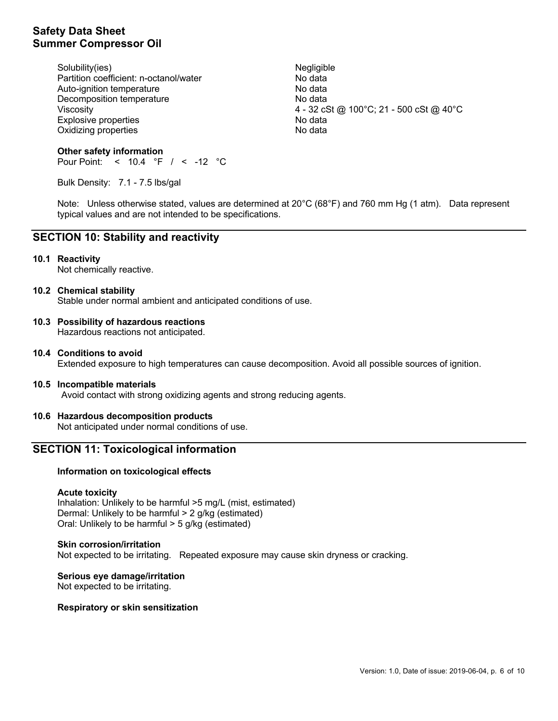Solubility(ies) Negligible 30 Partition coefficient: n-octanol/water No data Auto-ignition temperature No data Decomposition temperature No data Explosive properties and the state of the No data Oxidizing properties No data

Viscosity 4 - 32 cSt @ 100°C; 21 - 500 cSt @ 40°C

### **Other safety information** Pour Point: < 10.4 °F / < -12 °C

Bulk Density: 7.1 - 7.5 lbs/gal

Note: Unless otherwise stated, values are determined at 20°C (68°F) and 760 mm Hg (1 atm). Data represent typical values and are not intended to be specifications.

# **SECTION 10: Stability and reactivity**

## **10.1 Reactivity**

Not chemically reactive.

## **10.2 Chemical stability**

Stable under normal ambient and anticipated conditions of use.

# **10.3 Possibility of hazardous reactions**

Hazardous reactions not anticipated.

**10.4 Conditions to avoid** Extended exposure to high temperatures can cause decomposition. Avoid all possible sources of ignition.

## **10.5 Incompatible materials**

Avoid contact with strong oxidizing agents and strong reducing agents.

# **10.6 Hazardous decomposition products**

Not anticipated under normal conditions of use.

# **SECTION 11: Toxicological information**

### **Information on toxicological effects**

#### **Acute toxicity**

Inhalation: Unlikely to be harmful >5 mg/L (mist, estimated) Dermal: Unlikely to be harmful > 2 g/kg (estimated) Oral: Unlikely to be harmful > 5 g/kg (estimated)

#### **Skin corrosion/irritation**

Not expected to be irritating. Repeated exposure may cause skin dryness or cracking.

**Serious eye damage/irritation** Not expected to be irritating.

#### **Respiratory or skin sensitization**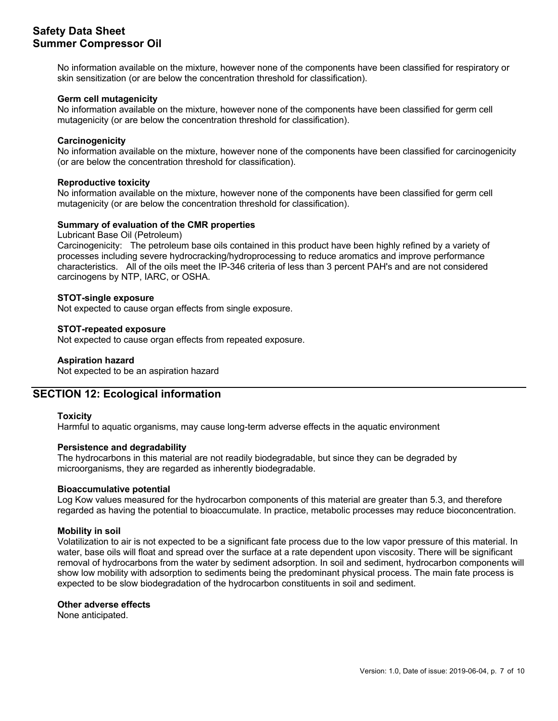No information available on the mixture, however none of the components have been classified for respiratory or skin sensitization (or are below the concentration threshold for classification).

## **Germ cell mutagenicity**

No information available on the mixture, however none of the components have been classified for germ cell mutagenicity (or are below the concentration threshold for classification).

## **Carcinogenicity**

No information available on the mixture, however none of the components have been classified for carcinogenicity (or are below the concentration threshold for classification).

### **Reproductive toxicity**

No information available on the mixture, however none of the components have been classified for germ cell mutagenicity (or are below the concentration threshold for classification).

# **Summary of evaluation of the CMR properties**

### Lubricant Base Oil (Petroleum)

Carcinogenicity: The petroleum base oils contained in this product have been highly refined by a variety of processes including severe hydrocracking/hydroprocessing to reduce aromatics and improve performance characteristics. All of the oils meet the IP-346 criteria of less than 3 percent PAH's and are not considered carcinogens by NTP, IARC, or OSHA.

#### **STOT-single exposure**

Not expected to cause organ effects from single exposure.

## **STOT-repeated exposure**

Not expected to cause organ effects from repeated exposure.

## **Aspiration hazard**

Not expected to be an aspiration hazard

# **SECTION 12: Ecological information**

### **Toxicity**

Harmful to aquatic organisms, may cause long-term adverse effects in the aquatic environment

### **Persistence and degradability**

The hydrocarbons in this material are not readily biodegradable, but since they can be degraded by microorganisms, they are regarded as inherently biodegradable.

#### **Bioaccumulative potential**

Log Kow values measured for the hydrocarbon components of this material are greater than 5.3, and therefore regarded as having the potential to bioaccumulate. In practice, metabolic processes may reduce bioconcentration.

## **Mobility in soil**

Volatilization to air is not expected to be a significant fate process due to the low vapor pressure of this material. In water, base oils will float and spread over the surface at a rate dependent upon viscosity. There will be significant removal of hydrocarbons from the water by sediment adsorption. In soil and sediment, hydrocarbon components will show low mobility with adsorption to sediments being the predominant physical process. The main fate process is expected to be slow biodegradation of the hydrocarbon constituents in soil and sediment.

#### **Other adverse effects**

None anticipated.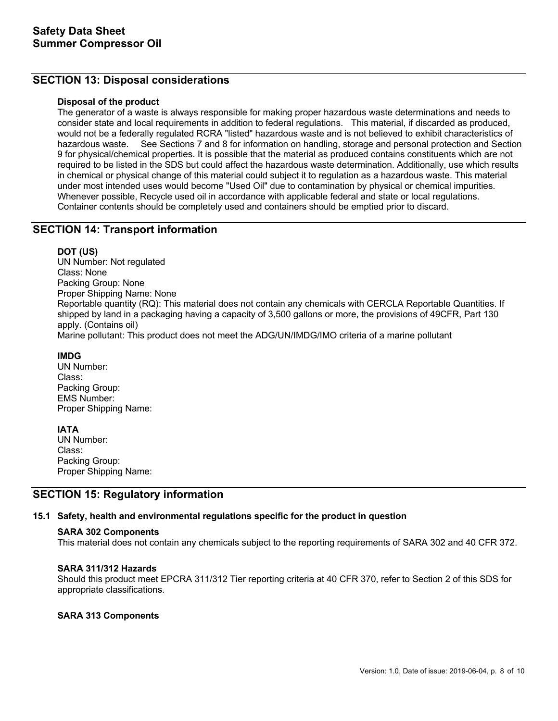# **SECTION 13: Disposal considerations**

## **Disposal of the product**

The generator of a waste is always responsible for making proper hazardous waste determinations and needs to consider state and local requirements in addition to federal regulations. This material, if discarded as produced, would not be a federally regulated RCRA "listed" hazardous waste and is not believed to exhibit characteristics of hazardous waste. See Sections 7 and 8 for information on handling, storage and personal protection and Section 9 for physical/chemical properties. It is possible that the material as produced contains constituents which are not required to be listed in the SDS but could affect the hazardous waste determination. Additionally, use which results in chemical or physical change of this material could subject it to regulation as a hazardous waste. This material under most intended uses would become "Used Oil" due to contamination by physical or chemical impurities. Whenever possible, Recycle used oil in accordance with applicable federal and state or local regulations. Container contents should be completely used and containers should be emptied prior to discard.

# **SECTION 14: Transport information**

## **DOT (US)**

UN Number: Not regulated Class: None Packing Group: None Proper Shipping Name: None Reportable quantity (RQ): This material does not contain any chemicals with CERCLA Reportable Quantities. If shipped by land in a packaging having a capacity of 3,500 gallons or more, the provisions of 49CFR, Part 130 apply. (Contains oil)

Marine pollutant: This product does not meet the ADG/UN/IMDG/IMO criteria of a marine pollutant

## **IMDG**

UN Number: Class: Packing Group: EMS Number: Proper Shipping Name:

#### **IATA**

UN Number: Class: Packing Group: Proper Shipping Name:

# **SECTION 15: Regulatory information**

## **15.1 Safety, health and environmental regulations specific for the product in question**

#### **SARA 302 Components**

This material does not contain any chemicals subject to the reporting requirements of SARA 302 and 40 CFR 372.

#### **SARA 311/312 Hazards**

Should this product meet EPCRA 311/312 Tier reporting criteria at 40 CFR 370, refer to Section 2 of this SDS for appropriate classifications.

## **SARA 313 Components**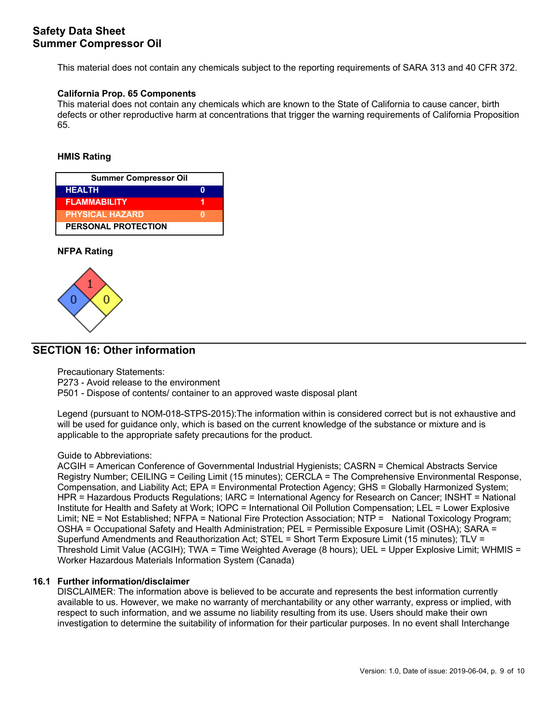This material does not contain any chemicals subject to the reporting requirements of SARA 313 and 40 CFR 372.

## **California Prop. 65 Components**

This material does not contain any chemicals which are known to the State of California to cause cancer, birth defects or other reproductive harm at concentrations that trigger the warning requirements of California Proposition 65.

## **HMIS Rating**

| <b>Summer Compressor Oil</b> |  |  |
|------------------------------|--|--|
| <b>HEALTH</b>                |  |  |
| <b>FLAMMABILITY</b>          |  |  |
| <b>PHYSICAL HAZARD</b>       |  |  |
| <b>PERSONAL PROTECTION</b>   |  |  |

## **NFPA Rating**



# **SECTION 16: Other information**

Precautionary Statements:

P273 - Avoid release to the environment

P501 - Dispose of contents/ container to an approved waste disposal plant

Legend (pursuant to NOM-018-STPS-2015):The information within is considered correct but is not exhaustive and will be used for guidance only, which is based on the current knowledge of the substance or mixture and is applicable to the appropriate safety precautions for the product.

#### Guide to Abbreviations:

ACGIH = American Conference of Governmental Industrial Hygienists; CASRN = Chemical Abstracts Service Registry Number; CEILING = Ceiling Limit (15 minutes); CERCLA = The Comprehensive Environmental Response, Compensation, and Liability Act; EPA = Environmental Protection Agency; GHS = Globally Harmonized System; HPR = Hazardous Products Regulations; IARC = International Agency for Research on Cancer; INSHT = National Institute for Health and Safety at Work; IOPC = International Oil Pollution Compensation; LEL = Lower Explosive Limit; NE = Not Established; NFPA = National Fire Protection Association; NTP = National Toxicology Program; OSHA = Occupational Safety and Health Administration; PEL = Permissible Exposure Limit (OSHA); SARA = Superfund Amendments and Reauthorization Act; STEL = Short Term Exposure Limit (15 minutes); TLV = Threshold Limit Value (ACGIH); TWA = Time Weighted Average (8 hours); UEL = Upper Explosive Limit; WHMIS = Worker Hazardous Materials Information System (Canada)

## **16.1 Further information/disclaimer**

DISCLAIMER: The information above is believed to be accurate and represents the best information currently available to us. However, we make no warranty of merchantability or any other warranty, express or implied, with respect to such information, and we assume no liability resulting from its use. Users should make their own investigation to determine the suitability of information for their particular purposes. In no event shall Interchange